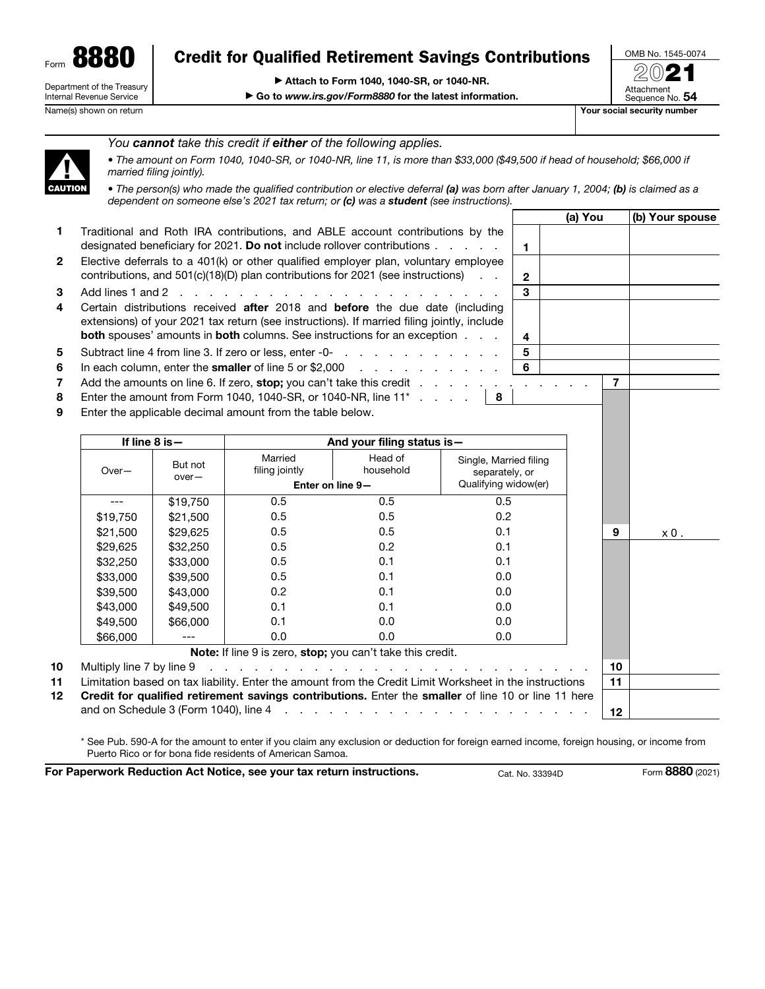Form 8880 Department of the Treasury Internal Revenue Service

# Credit for Qualified Retirement Savings Contributions

▶ Attach to Form 1040, 1040-SR, or 1040-NR.

▶ Go to *www.irs.gov/Form8880* for the latest information.



Name(s) shown on return The Contract of the Contract of the Contract of the Contract of The Contract of The Contract of The Contract of The Contract of The Contract of The Contract of The Contract of The Contract of The Co

(a) You  $|(b)$  Your spouse



*You cannot take this credit if either of the following applies.*

• *The amount on Form 1040, 1040-SR, or 1040-NR, line 11, is more than \$33,000 (\$49,500 if head of household; \$66,000 if married filing jointly).*

• The person(s) who made the qualified contribution or elective deferral (a) was born after January 1, 2004; (b) is claimed as a *dependent on someone else's 2021 tax return; or (c) was a student (see instructions).*

- 1 Traditional and Roth IRA contributions, and ABLE account contributions by the designated beneficiary for 2021. Do not include rollover contributions  $\ldots$   $\ldots$   $\mid$  1 2 Elective deferrals to a 401(k) or other qualified employer plan, voluntary employee contributions, and 501(c)(18)(D) plan contributions for 2021 (see instructions)  $\therefore$ 3 Add lines 1 and 2 . . . . . . . . . . . . . . . . . . . . . . 3 4 Certain distributions received after 2018 and before the due date (including extensions) of your 2021 tax return (see instructions). If married filing jointly, include **both** spouses' amounts in **both** columns. See instructions for an exception  $\ldots$   $\ldots$  | 4 5 Subtract line 4 from line 3. If zero or less, enter  $-0$ - . . . . . . . . . . . . . . . 5
- 6 In each column, enter the **smaller** of line 5 or  $$2,000$  . . . . . . . . . . . 6
- 7 Add the amounts on line 6. If zero, stop; you can't take this credit  $\ldots$  . . . . . . . . . . . . . . 7
- 
- 8 Enter the amount from Form 1040, 1040-SR, or 1040-NR, line  $11^*$  . . . .  $\vert 8$
- 9 Enter the applicable decimal amount from the table below.

| If line $8$ is $-$ |                    | And your filing status is - |                                                            |                                                                                                                        |                  |     |
|--------------------|--------------------|-----------------------------|------------------------------------------------------------|------------------------------------------------------------------------------------------------------------------------|------------------|-----|
| $Over-$            | But not<br>$over-$ | Married<br>filing jointly   | Head of<br>household                                       | Single, Married filing<br>separately, or                                                                               |                  |     |
|                    |                    | Enter on line 9-            |                                                            | Qualifying widow(er)                                                                                                   |                  |     |
|                    | \$19,750           | 0.5                         | 0.5                                                        | 0.5                                                                                                                    |                  |     |
| \$19,750           | \$21,500           | 0.5                         | 0.5                                                        | 0.2                                                                                                                    |                  |     |
| \$21,500           | \$29,625           | 0.5                         | 0.5                                                        | 0.1                                                                                                                    | 9                | x0. |
| \$29,625           | \$32,250           | 0.5                         | 0.2                                                        | 0.1                                                                                                                    |                  |     |
| \$32,250           | \$33,000           | 0.5                         | 0.1                                                        | 0.1                                                                                                                    |                  |     |
| \$33,000           | \$39,500           | 0.5                         | 0.1                                                        | 0.0                                                                                                                    |                  |     |
| \$39,500           | \$43,000           | 0.2                         | 0.1                                                        | 0.0                                                                                                                    |                  |     |
| \$43,000           | \$49,500           | 0.1                         | 0.1                                                        | 0.0                                                                                                                    |                  |     |
| \$49,500           | \$66,000           | 0.1                         | 0.0                                                        | 0.0                                                                                                                    |                  |     |
| \$66,000           |                    | 0.0                         | 0.0                                                        | 0.0                                                                                                                    |                  |     |
|                    |                    |                             | Note: If line 9 is zero, stop; you can't take this credit. |                                                                                                                        |                  |     |
|                    |                    |                             |                                                            |                                                                                                                        | 10               |     |
|                    |                    |                             |                                                            | Limitation based on tax liability. Enter the amount from the Credit Limit Worksheet in the instructions                | 11               |     |
|                    |                    |                             |                                                            | Credit for qualified retirement savings contributions. Enter the smaller of line 10 or line 11 here                    |                  |     |
|                    |                    |                             |                                                            | and on Schedule 3 (Form 1040), line 4 $\ldots$ $\ldots$ $\ldots$ $\ldots$ $\ldots$ $\ldots$ $\ldots$ $\ldots$ $\ldots$ | 12 <sup>12</sup> |     |

\* See Pub. 590-A for the amount to enter if you claim any exclusion or deduction for foreign earned income, foreign housing, or income from Puerto Rico or for bona fide residents of American Samoa.

For Paperwork Reduction Act Notice, see your tax return instructions. Cat. No. 33394D Form 8880 (2021)